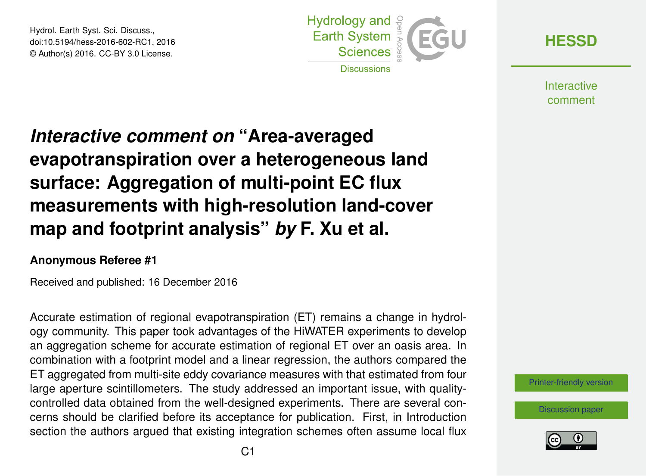Hydrol. Earth Syst. Sci. Discuss., doi:10.5194/hess-2016-602-RC1, 2016 © Author(s) 2016. CC-BY 3.0 License.



**[HESSD](http://www.hydrol-earth-syst-sci-discuss.net/)**

**Interactive** comment

## *Interactive comment on* **"Area-averaged evapotranspiration over a heterogeneous land surface: Aggregation of multi-point EC flux measurements with high-resolution land-cover map and footprint analysis"** *by* **F. Xu et al.**

## **Anonymous Referee #1**

Received and published: 16 December 2016

Accurate estimation of regional evapotranspiration (ET) remains a change in hydrology community. This paper took advantages of the HiWATER experiments to develop an aggregation scheme for accurate estimation of regional ET over an oasis area. In combination with a footprint model and a linear regression, the authors compared the ET aggregated from multi-site eddy covariance measures with that estimated from four large aperture scintillometers. The study addressed an important issue, with qualitycontrolled data obtained from the well-designed experiments. There are several concerns should be clarified before its acceptance for publication. First, in Introduction section the authors argued that existing integration schemes often assume local flux

[Printer-friendly version](http://www.hydrol-earth-syst-sci-discuss.net/hess-2016-602/hess-2016-602-RC1-print.pdf)

[Discussion paper](http://www.hydrol-earth-syst-sci-discuss.net/hess-2016-602)

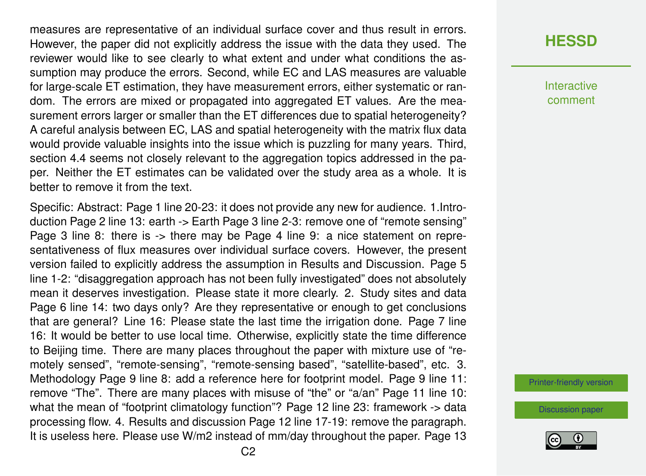measures are representative of an individual surface cover and thus result in errors. However, the paper did not explicitly address the issue with the data they used. The reviewer would like to see clearly to what extent and under what conditions the assumption may produce the errors. Second, while EC and LAS measures are valuable for large-scale ET estimation, they have measurement errors, either systematic or random. The errors are mixed or propagated into aggregated ET values. Are the measurement errors larger or smaller than the ET differences due to spatial heterogeneity? A careful analysis between EC, LAS and spatial heterogeneity with the matrix flux data would provide valuable insights into the issue which is puzzling for many years. Third, section 4.4 seems not closely relevant to the aggregation topics addressed in the paper. Neither the ET estimates can be validated over the study area as a whole. It is better to remove it from the text.

Specific: Abstract: Page 1 line 20-23: it does not provide any new for audience. 1.Introduction Page 2 line 13: earth -> Earth Page 3 line 2-3: remove one of "remote sensing" Page 3 line 8: there is -> there may be Page 4 line 9: a nice statement on representativeness of flux measures over individual surface covers. However, the present version failed to explicitly address the assumption in Results and Discussion. Page 5 line 1-2: "disaggregation approach has not been fully investigated" does not absolutely mean it deserves investigation. Please state it more clearly. 2. Study sites and data Page 6 line 14: two days only? Are they representative or enough to get conclusions that are general? Line 16: Please state the last time the irrigation done. Page 7 line 16: It would be better to use local time. Otherwise, explicitly state the time difference to Beijing time. There are many places throughout the paper with mixture use of "remotely sensed", "remote-sensing", "remote-sensing based", "satellite-based", etc. 3. Methodology Page 9 line 8: add a reference here for footprint model. Page 9 line 11: remove "The". There are many places with misuse of "the" or "a/an" Page 11 line 10: what the mean of "footprint climatology function"? Page 12 line 23: framework -> data processing flow. 4. Results and discussion Page 12 line 17-19: remove the paragraph. It is useless here. Please use W/m2 instead of mm/day throughout the paper. Page 13

**Interactive** comment

[Printer-friendly version](http://www.hydrol-earth-syst-sci-discuss.net/hess-2016-602/hess-2016-602-RC1-print.pdf)

[Discussion paper](http://www.hydrol-earth-syst-sci-discuss.net/hess-2016-602)